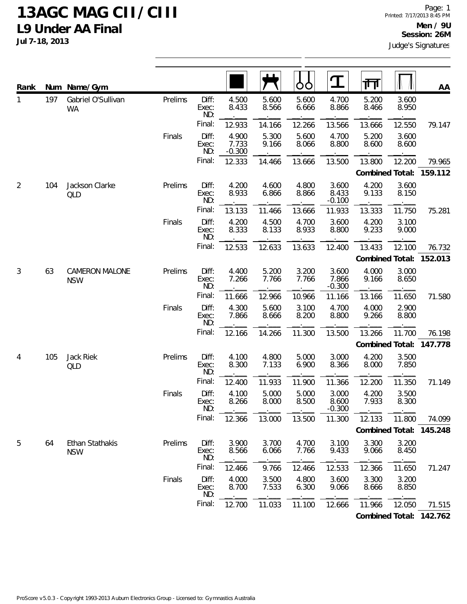## **13AGC MAG CII/CIII L9 Under AA Final**

**Jul 7-18, 2013**

| Rank           |     | Num Name/Gym                    |         |                       |                            |                | Ó<br>O         | ${\bf T}$                  | गा              |                | AA                      |
|----------------|-----|---------------------------------|---------|-----------------------|----------------------------|----------------|----------------|----------------------------|-----------------|----------------|-------------------------|
| 1              | 197 | Gabriel O'Sullivan<br><b>WA</b> | Prelims | Diff:<br>Exec:<br>ND: | 4.500<br>8.433             | 5.600<br>8.566 | 5.600<br>6.666 | 4.700<br>8.866             | 5.200<br>8.466  | 3.600<br>8.950 |                         |
|                |     |                                 |         | Final:                | 12.933                     | 14.166         | 12.266         | 13.566                     | 13.666          | 12.550         | 79.147                  |
|                |     |                                 | Finals  | Diff:<br>Exec:<br>ND: | 4.900<br>7.733<br>$-0.300$ | 5.300<br>9.166 | 5.600<br>8.066 | 4.700<br>8.800             | 5.200<br>8.600  | 3.600<br>8.600 |                         |
|                |     |                                 |         | Final:                | 12.333                     | 14.466         | 13.666         | 13.500                     | 13.800          | 12.200         | 79.965                  |
|                |     |                                 |         |                       |                            |                |                |                            | Combined Total: |                | 159.112                 |
| $\overline{2}$ | 104 | Jackson Clarke<br>QLD           | Prelims | Diff:<br>Exec:<br>ND: | 4.200<br>8.933             | 4.600<br>6.866 | 4.800<br>8.866 | 3.600<br>8.433<br>$-0.100$ | 4.200<br>9.133  | 3.600<br>8.150 |                         |
|                |     |                                 |         | Final:                | 13.133                     | 11.466         | 13.666         | 11.933                     | 13.333          | 11.750         | 75.281                  |
|                |     |                                 | Finals  | Diff:<br>Exec:<br>ND: | 4.200<br>8.333             | 4.500<br>8.133 | 4.700<br>8.933 | 3.600<br>8.800             | 4.200<br>9.233  | 3.100<br>9.000 |                         |
|                |     |                                 |         | Final:                | 12.533                     | 12.633         | 13.633         | 12.400                     | 13.433          | 12.100         | 76.732                  |
|                |     |                                 |         |                       | Combined Total:            | 152.013        |                |                            |                 |                |                         |
| 3              | 63  | CAMERON MALONE<br><b>NSW</b>    | Prelims | Diff:<br>Exec:<br>ND: | 4.400<br>7.266             | 5.200<br>7.766 | 3.200<br>7.766 | 3.600<br>7.866<br>$-0.300$ | 4.000<br>9.166  | 3.000<br>8.650 |                         |
|                |     |                                 |         | Final:                | 11.666                     | 12.966         | 10.966         | 11.166                     | 13.166          | 11.650         | 71.580                  |
|                |     |                                 | Finals  | Diff:<br>Exec:<br>ND: | 4.300<br>7.866             | 5.600<br>8.666 | 3.100<br>8.200 | 4.700<br>8.800             | 4.000<br>9.266  | 2.900<br>8.800 |                         |
|                |     |                                 |         | Final:                | 12.166                     | 14.266         | 11.300         | 13.500                     | 13.266          | 11.700         | 76.198                  |
|                |     |                                 |         |                       |                            |                |                |                            | Combined Total: |                | 147.778                 |
| 4              | 105 | Jack Riek<br>QLD                | Prelims | Diff:<br>Exec:<br>ND: | 4.100<br>8.300             | 4.800<br>7.133 | 5.000<br>6.900 | 3.000<br>8.366             | 4.200<br>8.000  | 3.500<br>7.850 |                         |
|                |     |                                 |         | Final:                | 12.400                     | 11.933         | 11.900         | 11.366                     | 12.200          | 11.350         | 71.149                  |
|                |     |                                 | Finals  | Diff:<br>Exec:<br>ND: | 4.100<br>8.266             | 5.000<br>8.000 | 5.000<br>8.500 | 3.000<br>8.600<br>$-0.300$ | 4.200<br>7.933  | 3.500<br>8.300 |                         |
|                |     |                                 |         | Final:                | 12.366                     | 13.000         | 13.500         | 11.300                     | 12.133          | 11.800         | 74.099                  |
|                |     |                                 |         |                       |                            |                |                |                            | Combined Total: |                | 145.248                 |
| 5              | 64  | Ethan Stathakis<br><b>NSW</b>   | Prelims | Diff:<br>Exec:<br>ND: | 3.900<br>8.566             | 3.700<br>6.066 | 4.700<br>7.766 | 3.100<br>9.433             | 3.300<br>9.066  | 3.200<br>8.450 |                         |
|                |     |                                 |         | Final:                | 12.466                     | 9.766          | 12.466         | 12.533                     | 12.366          | 11.650         | 71.247                  |
|                |     |                                 | Finals  | Diff:<br>Exec:<br>ND: | 4.000<br>8.700             | 3.500<br>7.533 | 4.800<br>6.300 | 3.600<br>9.066             | 3.300<br>8.666  | 3.200<br>8.850 |                         |
|                |     |                                 |         | Final:                | 12.700                     | 11.033         | 11.100         | 12.666                     | 11.966          | 12.050         | 71.515                  |
|                |     |                                 |         |                       |                            |                |                |                            |                 |                | Combined Total: 142.762 |